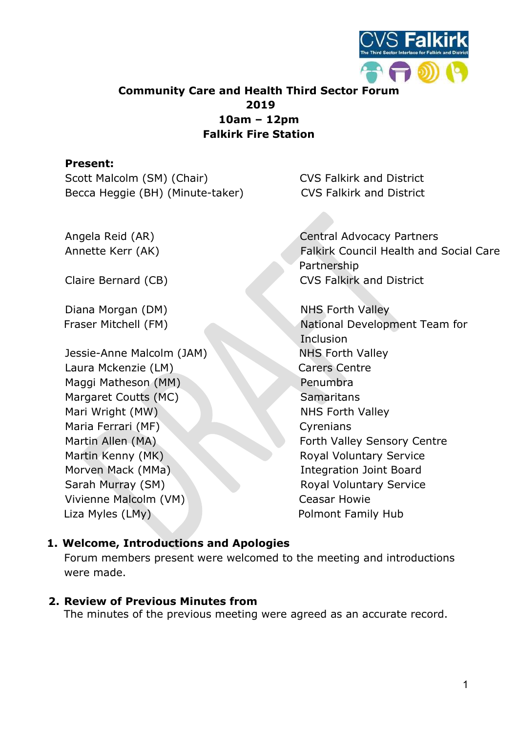

# Community Care and Health Third Sector Forum 2019 10am – 12pm Falkirk Fire Station

### Present:

Scott Malcolm (SM) (Chair) CVS Falkirk and District Becca Heggie (BH) (Minute-taker) CVS Falkirk and District

Diana Morgan (DM) NHS Forth Valley

Jessie-Anne Malcolm (JAM) NHS Forth Valley Laura Mckenzie (LM) Carers Centre Maggi Matheson (MM) Penumbra Margaret Coutts (MC) Samaritans Mari Wright (MW) NHS Forth Valley Maria Ferrari (MF) Cyrenians Martin Kenny (MK) Royal Voluntary Service Morven Mack (MMa) **Integration Joint Board** Sarah Murray (SM) Royal Voluntary Service Vivienne Malcolm (VM) Ceasar Howie Liza Myles (LMy) and the contract Polmont Family Hub

Angela Reid (AR) Central Advocacy Partners Annette Kerr (AK) Falkirk Council Health and Social Care Partnership Claire Bernard (CB) CVS Falkirk and District

Fraser Mitchell (FM) National Development Team for **Inclusion** Martin Allen (MA) Forth Valley Sensory Centre

#### 1. Welcome, Introductions and Apologies

Forum members present were welcomed to the meeting and introductions were made.

#### 2. Review of Previous Minutes from

The minutes of the previous meeting were agreed as an accurate record.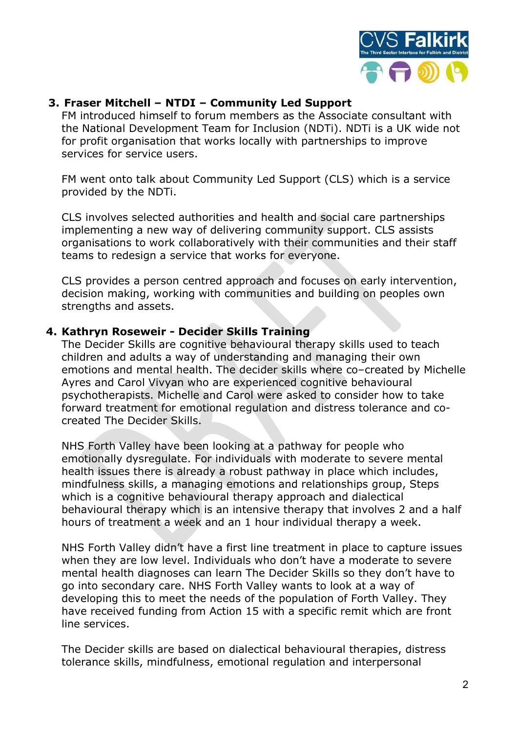

# 3. Fraser Mitchell – NTDI – Community Led Support

FM introduced himself to forum members as the Associate consultant with the National Development Team for Inclusion (NDTi). NDTi is a UK wide not for profit organisation that works locally with partnerships to improve services for service users.

FM went onto talk about Community Led Support (CLS) which is a service provided by the NDTi.

CLS involves selected authorities and health and social care partnerships implementing a new way of delivering community support. CLS assists organisations to work collaboratively with their communities and their staff teams to redesign a service that works for everyone.

CLS provides a person centred approach and focuses on early intervention, decision making, working with communities and building on peoples own strengths and assets.

#### 4. Kathryn Roseweir - Decider Skills Training

The Decider Skills are cognitive behavioural therapy skills used to teach children and adults a way of understanding and managing their own emotions and mental health. The decider skills where co–created by Michelle Ayres and Carol Vivyan who are experienced cognitive behavioural psychotherapists. Michelle and Carol were asked to consider how to take forward treatment for emotional regulation and distress tolerance and cocreated The Decider Skills.

NHS Forth Valley have been looking at a pathway for people who emotionally dysregulate. For individuals with moderate to severe mental health issues there is already a robust pathway in place which includes, mindfulness skills, a managing emotions and relationships group, Steps which is a cognitive behavioural therapy approach and dialectical behavioural therapy which is an intensive therapy that involves 2 and a half hours of treatment a week and an 1 hour individual therapy a week.

NHS Forth Valley didn't have a first line treatment in place to capture issues when they are low level. Individuals who don't have a moderate to severe mental health diagnoses can learn The Decider Skills so they don't have to go into secondary care. NHS Forth Valley wants to look at a way of developing this to meet the needs of the population of Forth Valley. They have received funding from Action 15 with a specific remit which are front line services.

The Decider skills are based on dialectical behavioural therapies, distress tolerance skills, mindfulness, emotional regulation and interpersonal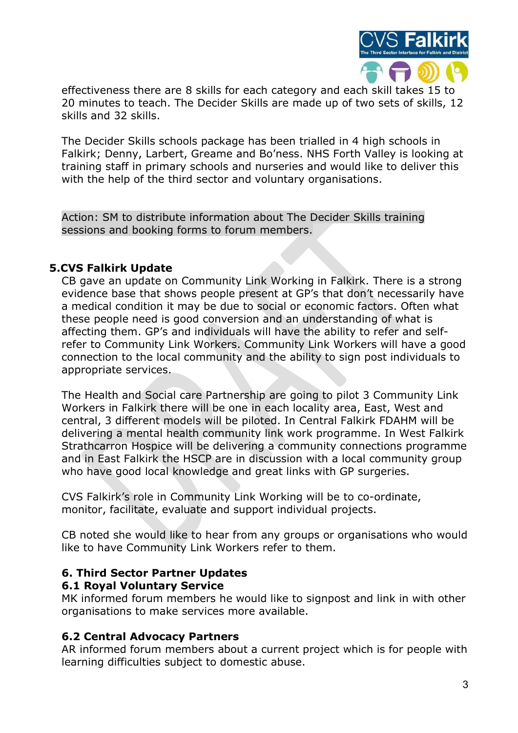

effectiveness there are 8 skills for each category and each skill takes 15 to 20 minutes to teach. The Decider Skills are made up of two sets of skills, 12 skills and 32 skills.

The Decider Skills schools package has been trialled in 4 high schools in Falkirk; Denny, Larbert, Greame and Bo'ness. NHS Forth Valley is looking at training staff in primary schools and nurseries and would like to deliver this with the help of the third sector and voluntary organisations.

Action: SM to distribute information about The Decider Skills training sessions and booking forms to forum members.

### 5.CVS Falkirk Update

CB gave an update on Community Link Working in Falkirk. There is a strong evidence base that shows people present at GP's that don't necessarily have a medical condition it may be due to social or economic factors. Often what these people need is good conversion and an understanding of what is affecting them. GP's and individuals will have the ability to refer and selfrefer to Community Link Workers. Community Link Workers will have a good connection to the local community and the ability to sign post individuals to appropriate services.

The Health and Social care Partnership are going to pilot 3 Community Link Workers in Falkirk there will be one in each locality area, East, West and central, 3 different models will be piloted. In Central Falkirk FDAHM will be delivering a mental health community link work programme. In West Falkirk Strathcarron Hospice will be delivering a community connections programme and in East Falkirk the HSCP are in discussion with a local community group who have good local knowledge and great links with GP surgeries.

CVS Falkirk's role in Community Link Working will be to co-ordinate, monitor, facilitate, evaluate and support individual projects.

CB noted she would like to hear from any groups or organisations who would like to have Community Link Workers refer to them.

# 6. Third Sector Partner Updates

#### 6.1 Royal Voluntary Service

MK informed forum members he would like to signpost and link in with other organisations to make services more available.

#### 6.2 Central Advocacy Partners

AR informed forum members about a current project which is for people with learning difficulties subject to domestic abuse.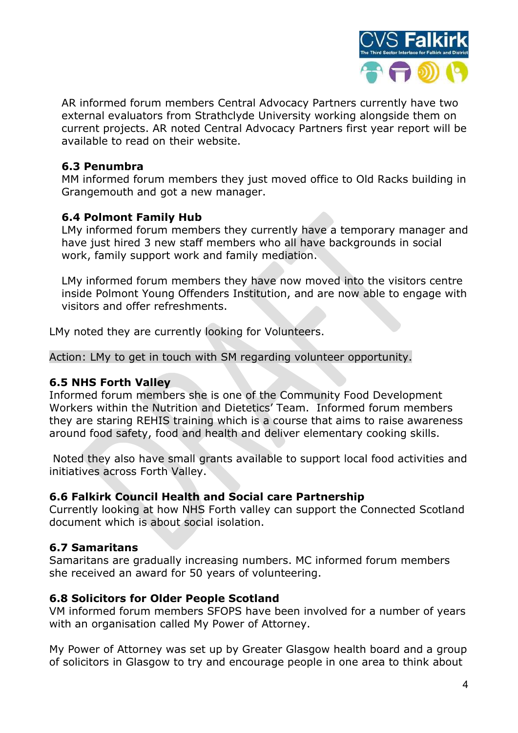

AR informed forum members Central Advocacy Partners currently have two external evaluators from Strathclyde University working alongside them on current projects. AR noted Central Advocacy Partners first year report will be available to read on their website.

### 6.3 Penumbra

MM informed forum members they just moved office to Old Racks building in Grangemouth and got a new manager.

### 6.4 Polmont Family Hub

LMy informed forum members they currently have a temporary manager and have just hired 3 new staff members who all have backgrounds in social work, family support work and family mediation.

LMy informed forum members they have now moved into the visitors centre inside Polmont Young Offenders Institution, and are now able to engage with visitors and offer refreshments.

LMy noted they are currently looking for Volunteers.

Action: LMy to get in touch with SM regarding volunteer opportunity.

#### 6.5 NHS Forth Valley

Informed forum members she is one of the Community Food Development Workers within the Nutrition and Dietetics' Team. Informed forum members they are staring REHIS training which is a course that aims to raise awareness around food safety, food and health and deliver elementary cooking skills.

 Noted they also have small grants available to support local food activities and initiatives across Forth Valley.

#### 6.6 Falkirk Council Health and Social care Partnership

Currently looking at how NHS Forth valley can support the Connected Scotland document which is about social isolation.

# 6.7 Samaritans

Samaritans are gradually increasing numbers. MC informed forum members she received an award for 50 years of volunteering.

#### 6.8 Solicitors for Older People Scotland

VM informed forum members SFOPS have been involved for a number of years with an organisation called My Power of Attorney.

My Power of Attorney was set up by Greater Glasgow health board and a group of solicitors in Glasgow to try and encourage people in one area to think about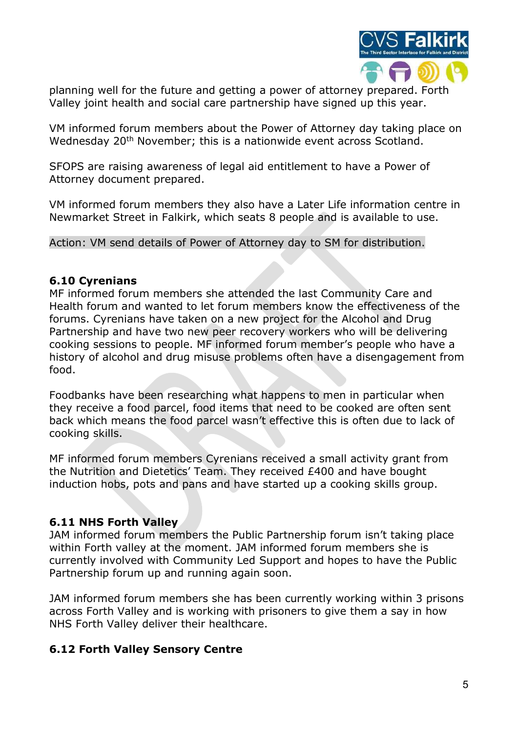

planning well for the future and getting a power of attorney prepared. Forth Valley joint health and social care partnership have signed up this year.

VM informed forum members about the Power of Attorney day taking place on Wednesday 20<sup>th</sup> November; this is a nationwide event across Scotland.

SFOPS are raising awareness of legal aid entitlement to have a Power of Attorney document prepared.

VM informed forum members they also have a Later Life information centre in Newmarket Street in Falkirk, which seats 8 people and is available to use.

Action: VM send details of Power of Attorney day to SM for distribution.

### 6.10 Cyrenians

MF informed forum members she attended the last Community Care and Health forum and wanted to let forum members know the effectiveness of the forums. Cyrenians have taken on a new project for the Alcohol and Drug Partnership and have two new peer recovery workers who will be delivering cooking sessions to people. MF informed forum member's people who have a history of alcohol and drug misuse problems often have a disengagement from food.

Foodbanks have been researching what happens to men in particular when they receive a food parcel, food items that need to be cooked are often sent back which means the food parcel wasn't effective this is often due to lack of cooking skills.

MF informed forum members Cyrenians received a small activity grant from the Nutrition and Dietetics' Team. They received £400 and have bought induction hobs, pots and pans and have started up a cooking skills group.

# 6.11 NHS Forth Valley

JAM informed forum members the Public Partnership forum isn't taking place within Forth valley at the moment. JAM informed forum members she is currently involved with Community Led Support and hopes to have the Public Partnership forum up and running again soon.

JAM informed forum members she has been currently working within 3 prisons across Forth Valley and is working with prisoners to give them a say in how NHS Forth Valley deliver their healthcare.

# 6.12 Forth Valley Sensory Centre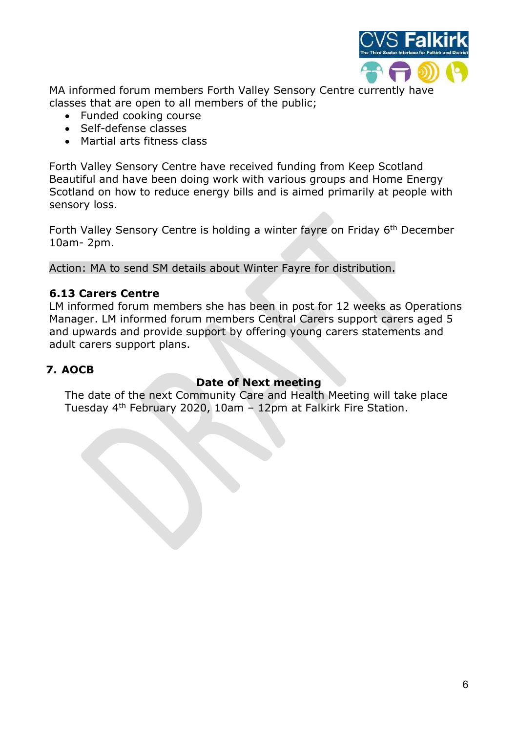

MA informed forum members Forth Valley Sensory Centre currently have classes that are open to all members of the public;

- Funded cooking course
- Self-defense classes
- Martial arts fitness class

Forth Valley Sensory Centre have received funding from Keep Scotland Beautiful and have been doing work with various groups and Home Energy Scotland on how to reduce energy bills and is aimed primarily at people with sensory loss.

Forth Valley Sensory Centre is holding a winter fayre on Friday 6<sup>th</sup> December 10am- 2pm.

Action: MA to send SM details about Winter Fayre for distribution.

### 6.13 Carers Centre

LM informed forum members she has been in post for 12 weeks as Operations Manager. LM informed forum members Central Carers support carers aged 5 and upwards and provide support by offering young carers statements and adult carers support plans.

### 7. AOCB

#### Date of Next meeting

The date of the next Community Care and Health Meeting will take place Tuesday 4th February 2020, 10am – 12pm at Falkirk Fire Station.